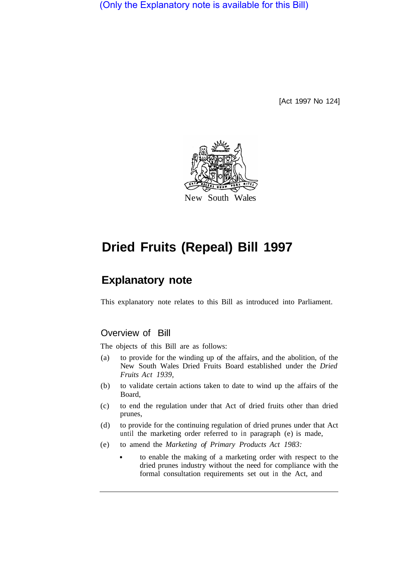(Only the Explanatory note is available for this Bill)

[Act 1997 No 124]



# **Dried Fruits (Repeal) Bill 1997**

## **Explanatory note**

This explanatory note relates to this Bill as introduced into Parliament.

#### Overview of Bill

The objects of this Bill are as follows:

- (a) to provide for the winding up of the affairs, and the abolition, of the New South Wales Dried Fruits Board established under the *Dried Fruits Act 1939,*
- (b) to validate certain actions taken to date to wind up the affairs of the Board,
- (c) to end the regulation under that Act of dried fruits other than dried prunes,
- (d) to provide for the continuing regulation of dried prunes under that Act until the marketing order referred to in paragraph (e) is made,
- (e) to amend the *Marketing of Primary Products Act 1983:* 
	- to enable the making of a marketing order with respect to the dried prunes industry without the need for compliance with the formal consultation requirements set out in the Act, and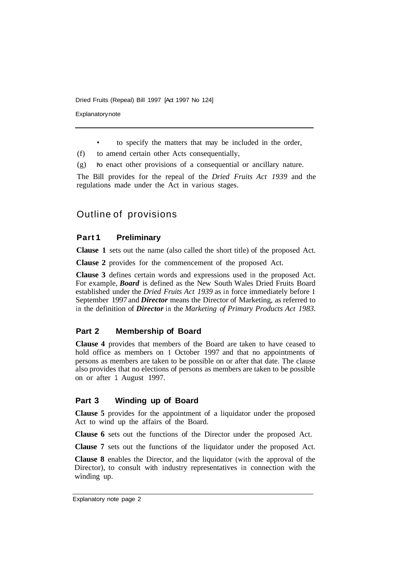**Explanatory note** 

• to specify the matters that may be included in the order,

(f) to amend certain other Acts consequentially,

(g) **PO** enact other provisions of a consequential or ancillary nature.

The Bill provides for the repeal of the *Dried Fruits Act 1939* and the regulations made under the Act in various stages.

### Outline of provisions

#### **Part 1 Preliminary**

**Clause 1** sets out the name (also called the short title) of the proposed Act.

**Clause 2** provides for the commencement of the proposed Act.

**Clause 3** defines certain words and expressions used in the proposed Act. For example, *Board* is defined as the New South Wales Dried Fruits Board established under the *Dried Fruits Act 1939* as in force immediately before **<sup>1</sup>** September 1997 and *Director* means the Director of Marketing, as referred to in the definition of *Director* in the *Marketing of Primary Products Act 1983.* 

#### **Part 2 Membership of Board**

**Clause 4** provides that members of the Board are taken to have ceased to hold office as members on **1** October 1997 and that no appointments of persons as members are taken to be possible on or after that date. The clause also provides that no elections of persons as members are taken to be possible on or after 1 August 1997.

#### **Part 3 Winding up of Board**

**Clause 5** provides for the appointment of a liquidator under the proposed Act to wind up the affairs of the Board.

**Clause 6** sets out the functions of the Director under the proposed Act.

**Clause 7** sets out the functions of the liquidator under the proposed Act.

**Clause 8** enables the Director, and the liquidator (with the approval of the Director), to consult with industry representatives in connection with the winding up.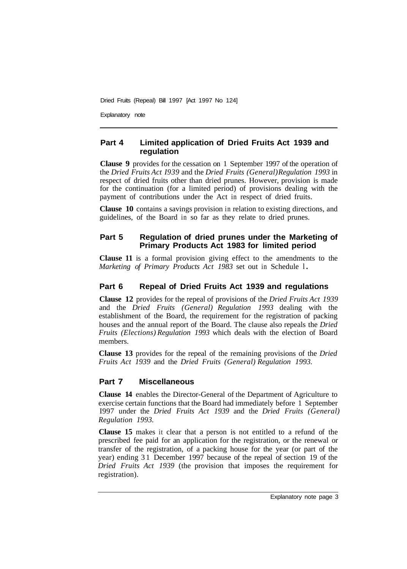Explanatory note

#### **Part 4 Limited application of Dried Fruits Act 1939 and regulation**

**Clause 9** provides for the cessation on 1 September 1997 of the operation of the *Dried Fruits Act I939* and the *Dried Fruits (General) Regulation 1993* in respect of dried fruits other than dried prunes. However, provision is made for the continuation (for a limited period) of provisions dealing with the payment of contributions under the Act in respect of dried fruits.

**Clause 10** contains a savings provision in relation to existing directions, and guidelines, of the Board in so far as they relate to dried prunes.

#### **Part 5 Regulation of dried prunes under the Marketing of Primary Products Act 1983 for limited period**

**Clause 11** is a formal provision giving effect to the amendments to the *Marketing of Primary Products Act 1983 set out in Schedule 1.* 

#### **Part 6 Repeal of Dried Fruits Act 1939 and regulations**

**Clause 12** provides for the repeal of provisions of the *Dried Fruits Act 1939*  and the *Dried Fruits (General) Regulation 1993* dealing with the establishment of the Board, the requirement for the registration of packing houses and the annual report of the Board. The clause also repeals the *Dried Fruits (Elections) Regulation 1993* which deals with the election of Board members.

**Clause 13** provides for the repeal of the remaining provisions of the *Dried Fruits Act 1939* and the *Dried Fruits (General) Regulation 1993.* 

#### **Part 7 Miscellaneous**

**Clause 14** enables the Director-General of the Department of Agriculture to exercise certain functions that the Board had immediately before 1 September I997 under the *Dried Fruits Act 1939* and the *Dried Fruits (General) Regulation 1993.* 

**Clause 15** makes it clear that a person is not entitled to a refund of the prescribed fee paid for an application for the registration, or the renewal or transfer of the registration, of a packing house for the year (or part of the year) ending 3 1 December 1997 because of the repeal of section 19 of the *Dried Fruits Act 1939* (the provision that imposes the requirement for registration).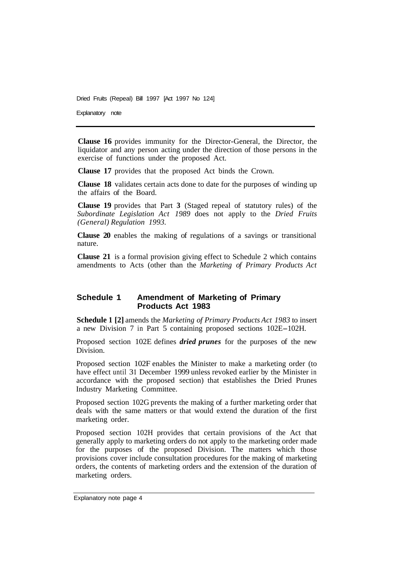Explanatory note

**Clause 16** provides immunity for the Director-General, the Director, the liquidator and any person acting under the direction of those persons in the exercise of functions under the proposed Act.

**Clause 17** provides that the proposed Act binds the Crown.

**Clause 18** validates certain acts done to date for the purposes of winding up the affairs of the Board.

**Clause 19** provides that Part **3** (Staged repeal of statutory rules) of the *Subordinate Legislation Act 1989* does not apply to the *Dried Fruits (General) Regulation 1993.* 

**Clause 20** enables the making of regulations of a savings or transitional nature.

**Clause 21** is a formal provision giving effect to Schedule 2 which contains amendments to Acts (other than the *Marketing of Primary Products Act* 

#### **Schedule 1 Amendment of Marketing of Primary Products Act 1983**

**Schedule 1 [2]** amends the *Marketing of Primary Products Act 1983* to insert a new Division 7 in Part 5 containing proposed sections 102E-102H.

Proposed section 102E defines *dried prunes* for the purposes of the new Division.

Proposed section 102F enables the Minister to make a marketing order (to have effect until 31 December 1999 unless revoked earlier by the Minister in accordance with the proposed section) that establishes the Dried Prunes Industry Marketing Committee.

Proposed section 102G prevents the making of a further marketing order that deals with the same matters or that would extend the duration of the first marketing order.

Proposed section 102H provides that certain provisions of the Act that generally apply to marketing orders do not apply to the marketing order made for the purposes of the proposed Division. The matters which those provisions cover include consultation procedures for the making of marketing orders, the contents of marketing orders and the extension of the duration of marketing orders.